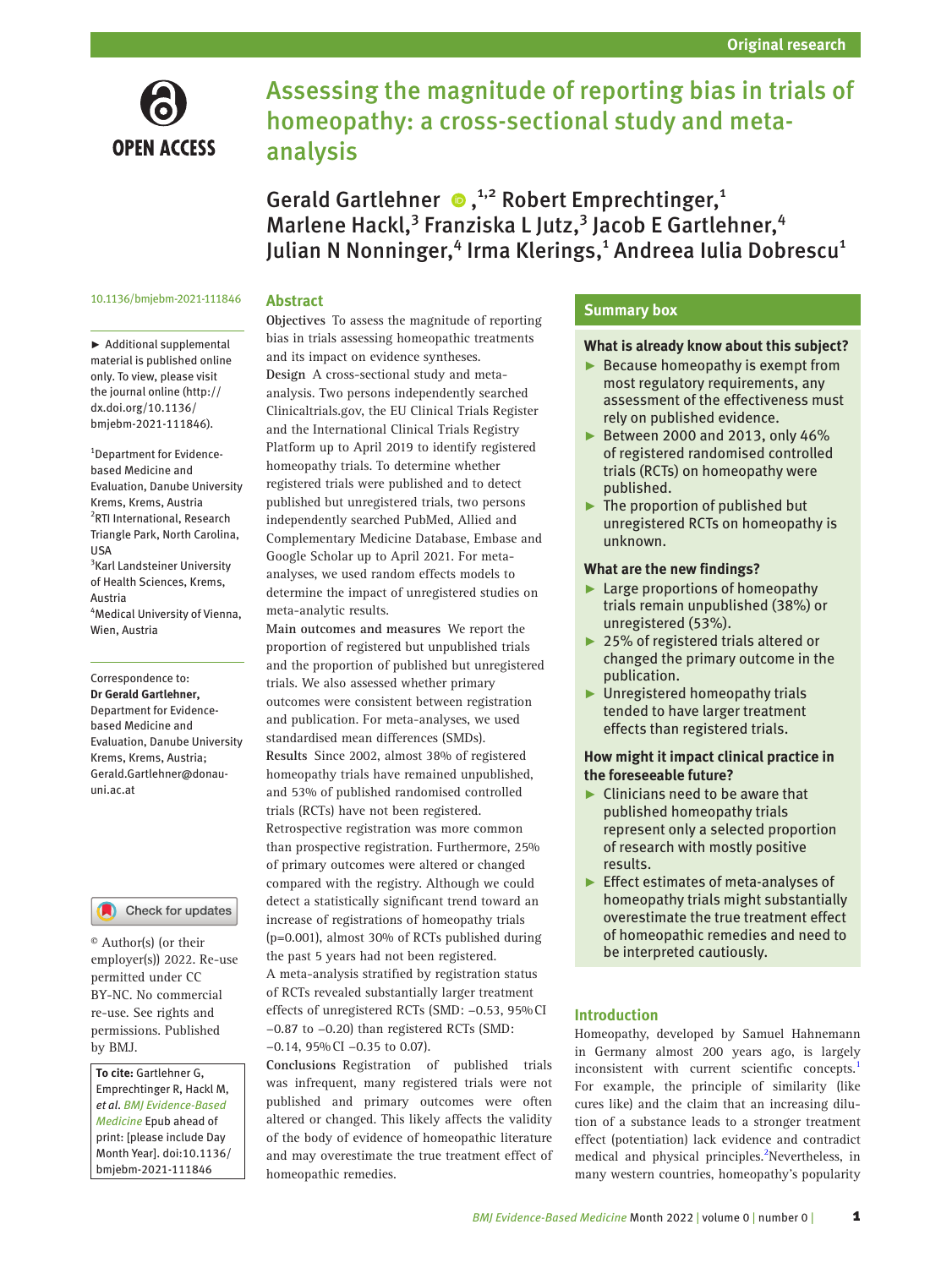

# Assessing the magnitude of reporting bias in trials of homeopathy: a cross-sectional study and metaanalysis

GeraldGartlehner  $\bullet$ ,<sup>1,2</sup> Robert Emprechtinger,<sup>1</sup> Marlene Hackl,<sup>3</sup> Franziska L Jutz,<sup>3</sup> Jacob E Gartlehner,<sup>4</sup> Julian N Nonninger,<sup>4</sup> Irma Klerings,<sup>1</sup> Andreea Iulia Dobrescu<sup>1</sup>

## 10.1136/bmjebm-2021-111846

# **Abstract**

► Additional supplemental material is published online only. To view, please visit the journal online ([http://](http://dx.doi.org/10.1136/bmjebm-2021-111846) [dx.doi.org/10.1136/](http://dx.doi.org/10.1136/bmjebm-2021-111846) [bmjebm-2021-111846](http://dx.doi.org/10.1136/bmjebm-2021-111846)).

1 Department for Evidencebased Medicine and Evaluation, Danube University Krems, Krems, Austria 2 RTI International, Research Triangle Park, North Carolina, USA 3 Karl Landsteiner University of Health Sciences, Krems, Austria 4 Medical University of Vienna, Wien, Austria

#### Correspondence to: *Dr Gerald Gartlehner,*

Department for Evidencebased Medicine and Evaluation, Danube University Krems, Krems, Austria; Gerald.Gartlehner@donauuni.ac.at

# Check for updates

© Author(s) (or their employer(s)) 2022. Re-use permitted under CC BY-NC. No commercial re-use. See rights and permissions. Published by BMJ.

*To cite:* Gartlehner G, Emprechtinger R, Hackl M, *et al*. *BMJ Evidence-Based Medicine* Epub ahead of print: [please include Day Month Year]. doi:10.1136/ bmjebm-2021-111846

**Objectives** To assess the magnitude of reporting bias in trials assessing homeopathic treatments and its impact on evidence syntheses. **Design** A cross-sectional study and metaanalysis. Two persons independently searched Clinicaltrials.gov, the EU Clinical Trials Register and the International Clinical Trials Registry Platform up to April 2019 to identify registered homeopathy trials. To determine whether registered trials were published and to detect published but unregistered trials, two persons independently searched PubMed, Allied and Complementary Medicine Database, Embase and Google Scholar up to April 2021. For metaanalyses, we used random effects models to determine the impact of unregistered studies on meta-analytic results.

**Main outcomes and measures** We report the proportion of registered but unpublished trials and the proportion of published but unregistered trials. We also assessed whether primary outcomes were consistent between registration and publication. For meta-analyses, we used standardised mean differences (SMDs). **Results** Since 2002, almost 38% of registered homeopathy trials have remained unpublished, and 53% of published randomised controlled trials (RCTs) have not been registered. Retrospective registration was more common than prospective registration. Furthermore, 25% of primary outcomes were altered or changed compared with the registry. Although we could detect a statistically significant trend toward an increase of registrations of homeopathy trials (p=0.001), almost 30% of RCTs published during the past 5 years had not been registered. A meta-analysis stratified by registration status of RCTs revealed substantially larger treatment effects of unregistered RCTs (SMD: −0.53, 95%CI −0.87 to −0.20) than registered RCTs (SMD: −0.14, 95%CI −0.35 to 0.07).

**Conclusions** Registration of published trials was infrequent, many registered trials were not published and primary outcomes were often altered or changed. This likely affects the validity of the body of evidence of homeopathic literature and may overestimate the true treatment effect of homeopathic remedies.

# **Summary box**

# **What is already know about this subject?**

- ► Because homeopathy is exempt from most regulatory requirements, any assessment of the effectiveness must rely on published evidence.
- ► Between 2000 and 2013, only 46% of registered randomised controlled trials (RCTs) on homeopathy were published.
- $\blacktriangleright$  The proportion of published but unregistered RCTs on homeopathy is unknown.

# **What are the new findings?**

- ► Large proportions of homeopathy trials remain unpublished (38%) or unregistered (53%).
- ► 25% of registered trials altered or changed the primary outcome in the publication.
- ► Unregistered homeopathy trials tended to have larger treatment effects than registered trials.

# **How might it impact clinical practice in the foreseeable future?**

- $\blacktriangleright$  Clinicians need to be aware that published homeopathy trials represent only a selected proportion of research with mostly positive results.
- ► Effect estimates of meta-analyses of homeopathy trials might substantially overestimate the true treatment effect of homeopathic remedies and need to be interpreted cautiously.

# **Introduction**

Homeopathy, developed by Samuel Hahnemann in Germany almost 200 years ago, is largely inconsistent with current scientific concepts.<sup>[1](#page-5-0)</sup> For example, the principle of similarity (like cures like) and the claim that an increasing dilution of a substance leads to a stronger treatment effect (potentiation) lack evidence and contradict medical and physical principles.<sup>[2](#page-5-1)</sup>Nevertheless, in many western countries, homeopathy's popularity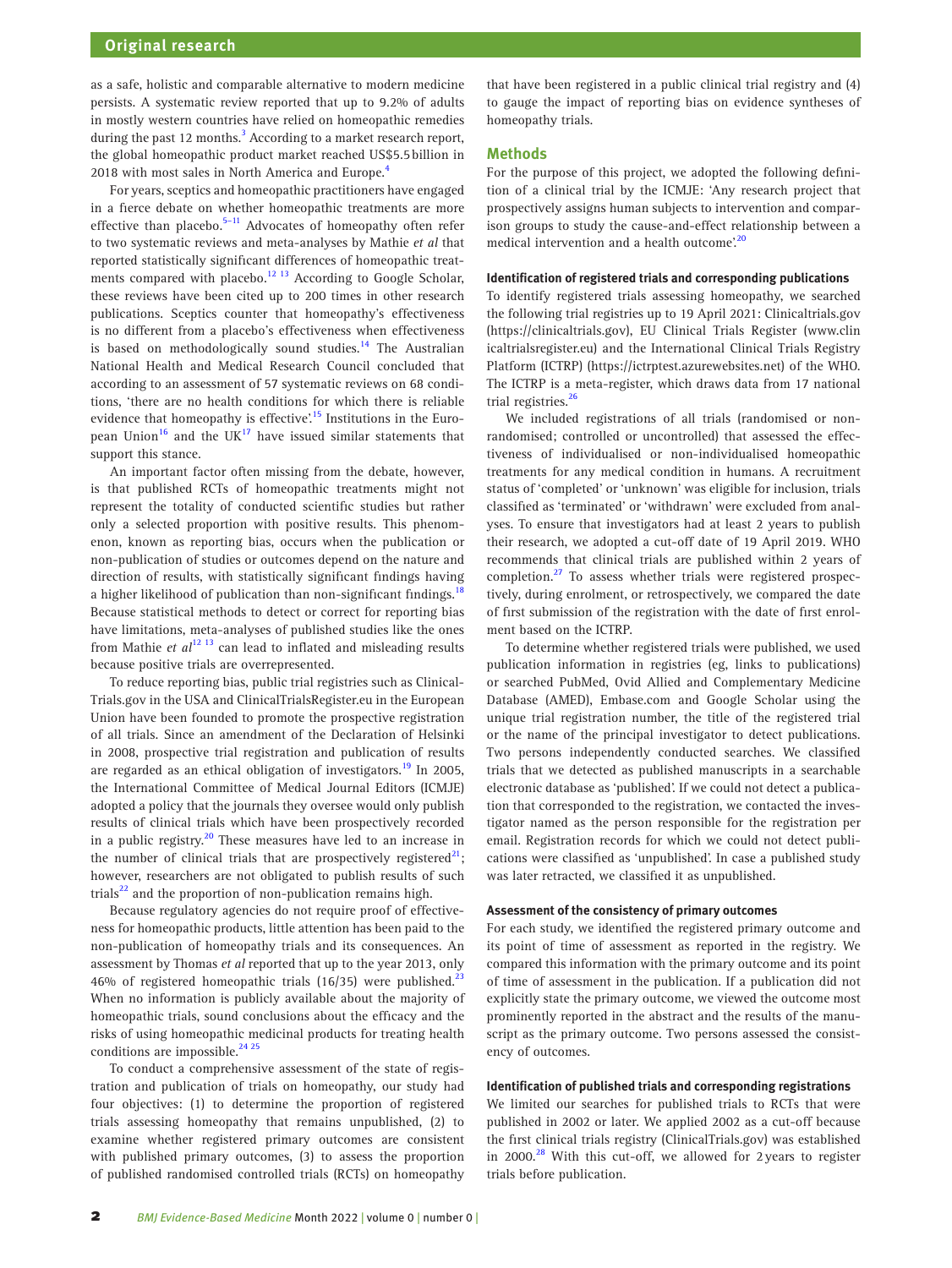as a safe, holistic and comparable alternative to modern medicine persists. A systematic review reported that up to 9.2% of adults in mostly western countries have relied on homeopathic remedies during the past 12 months.<sup>3</sup> According to a market research report, the global homeopathic product market reached US\$5.5billion in 2018 with most sales in North America and Europe.<sup>[4](#page-5-3)</sup>

For years, sceptics and homeopathic practitioners have engaged in a fierce debate on whether homeopathic treatments are more effective than placebo.<sup>5-11</sup> Advocates of homeopathy often refer to two systematic reviews and meta-analyses by Mathie *et al* that reported statistically significant differences of homeopathic treatments compared with placebo.<sup>12 13</sup> According to Google Scholar, these reviews have been cited up to 200 times in other research publications. Sceptics counter that homeopathy's effectiveness is no different from a placebo's effectiveness when effectiveness is based on methodologically sound studies.<sup>14</sup> The Australian National Health and Medical Research Council concluded that according to an assessment of 57 systematic reviews on 68 conditions, 'there are no health conditions for which there is reliable evidence that homeopathy is effective'.<sup>15</sup> Institutions in the European Union<sup>16</sup> and the UK<sup>17</sup> have issued similar statements that support this stance.

An important factor often missing from the debate, however, is that published RCTs of homeopathic treatments might not represent the totality of conducted scientific studies but rather only a selected proportion with positive results. This phenomenon, known as reporting bias, occurs when the publication or non-publication of studies or outcomes depend on the nature and direction of results, with statistically significant findings having a higher likelihood of publication than non-significant findings.<sup>[18](#page-5-10)</sup> Because statistical methods to detect or correct for reporting bias have limitations, meta-analyses of published studies like the ones from Mathie *et al*<sup>12 13</sup> can lead to inflated and misleading results because positive trials are overrepresented.

To reduce reporting bias, public trial registries such as Clinical-Trials.gov in the USA and ClinicalTrialsRegister.eu in the European Union have been founded to promote the prospective registration of all trials. Since an amendment of the Declaration of Helsinki in 2008, prospective trial registration and publication of results are regarded as an ethical obligation of investigators.<sup>[19](#page-5-11)</sup> In 2005, the International Committee of Medical Journal Editors (ICMJE) adopted a policy that the journals they oversee would only publish results of clinical trials which have been prospectively recorded in a public registry.<sup>20</sup> These measures have led to an increase in the number of clinical trials that are prospectively registered<sup>[21](#page-5-13)</sup>; however, researchers are not obligated to publish results of such trials $^{22}$  and the proportion of non-publication remains high.

Because regulatory agencies do not require proof of effectiveness for homeopathic products, little attention has been paid to the non-publication of homeopathy trials and its consequences. An assessment by Thomas *et al* reported that up to the year 2013, only 46% of registered homeopathic trials (16/35) were published. $^{22}$ When no information is publicly available about the majority of homeopathic trials, sound conclusions about the efficacy and the risks of using homeopathic medicinal products for treating health conditions are impossible.<sup>24 25</sup>

To conduct a comprehensive assessment of the state of registration and publication of trials on homeopathy, our study had four objectives: (1) to determine the proportion of registered trials assessing homeopathy that remains unpublished, (2) to examine whether registered primary outcomes are consistent with published primary outcomes, (3) to assess the proportion of published randomised controlled trials (RCTs) on homeopathy that have been registered in a public clinical trial registry and (4) to gauge the impact of reporting bias on evidence syntheses of homeopathy trials.

# **Methods**

For the purpose of this project, we adopted the following definition of a clinical trial by the ICMJE: 'Any research project that prospectively assigns human subjects to intervention and comparison groups to study the cause-and-effect relationship between a medical intervention and a health outcome.<sup>20</sup>

## **Identification of registered trials and corresponding publications**

To identify registered trials assessing homeopathy, we searched the following trial registries up to 19 April 2021: Clinicaltrials.gov [\(https://clinicaltrials.gov\)](https://clinicaltrials.gov), EU Clinical Trials Register [\(www.clin](www.clinicaltrialsregister.eu) [icaltrialsregister.eu](www.clinicaltrialsregister.eu)) and the International Clinical Trials Registry Platform (ICTRP) ([https://ictrptest.azurewebsites.net\)](https://ictrptest.azurewebsites.net) of the WHO. The ICTRP is a meta-register, which draws data from 17 national trial registries.<sup>[26](#page-5-17)</sup>

We included registrations of all trials (randomised or nonrandomised; controlled or uncontrolled) that assessed the effectiveness of individualised or non-individualised homeopathic treatments for any medical condition in humans. A recruitment status of 'completed' or 'unknown' was eligible for inclusion, trials classified as 'terminated' or 'withdrawn' were excluded from analyses. To ensure that investigators had at least 2 years to publish their research, we adopted a cut-off date of 19 April 2019. WHO recommends that clinical trials are published within 2 years of completion.<sup>[27](#page-5-18)</sup> To assess whether trials were registered prospectively, during enrolment, or retrospectively, we compared the date of first submission of the registration with the date of first enrolment based on the ICTRP.

To determine whether registered trials were published, we used publication information in registries (eg, links to publications) or searched PubMed, Ovid Allied and Complementary Medicine Database (AMED), Embase.com and Google Scholar using the unique trial registration number, the title of the registered trial or the name of the principal investigator to detect publications. Two persons independently conducted searches. We classified trials that we detected as published manuscripts in a searchable electronic database as 'published'. If we could not detect a publication that corresponded to the registration, we contacted the investigator named as the person responsible for the registration per email. Registration records for which we could not detect publications were classified as 'unpublished'. In case a published study was later retracted, we classified it as unpublished.

#### **Assessment of the consistency of primary outcomes**

For each study, we identified the registered primary outcome and its point of time of assessment as reported in the registry. We compared this information with the primary outcome and its point of time of assessment in the publication. If a publication did not explicitly state the primary outcome, we viewed the outcome most prominently reported in the abstract and the results of the manuscript as the primary outcome. Two persons assessed the consistency of outcomes.

#### **Identification of published trials and corresponding registrations**

We limited our searches for published trials to RCTs that were published in 2002 or later. We applied 2002 as a cut-off because the first clinical trials registry (ClinicalTrials.gov) was established in 2000. $^{28}$  $^{28}$  $^{28}$  With this cut-off, we allowed for 2 years to register trials before publication.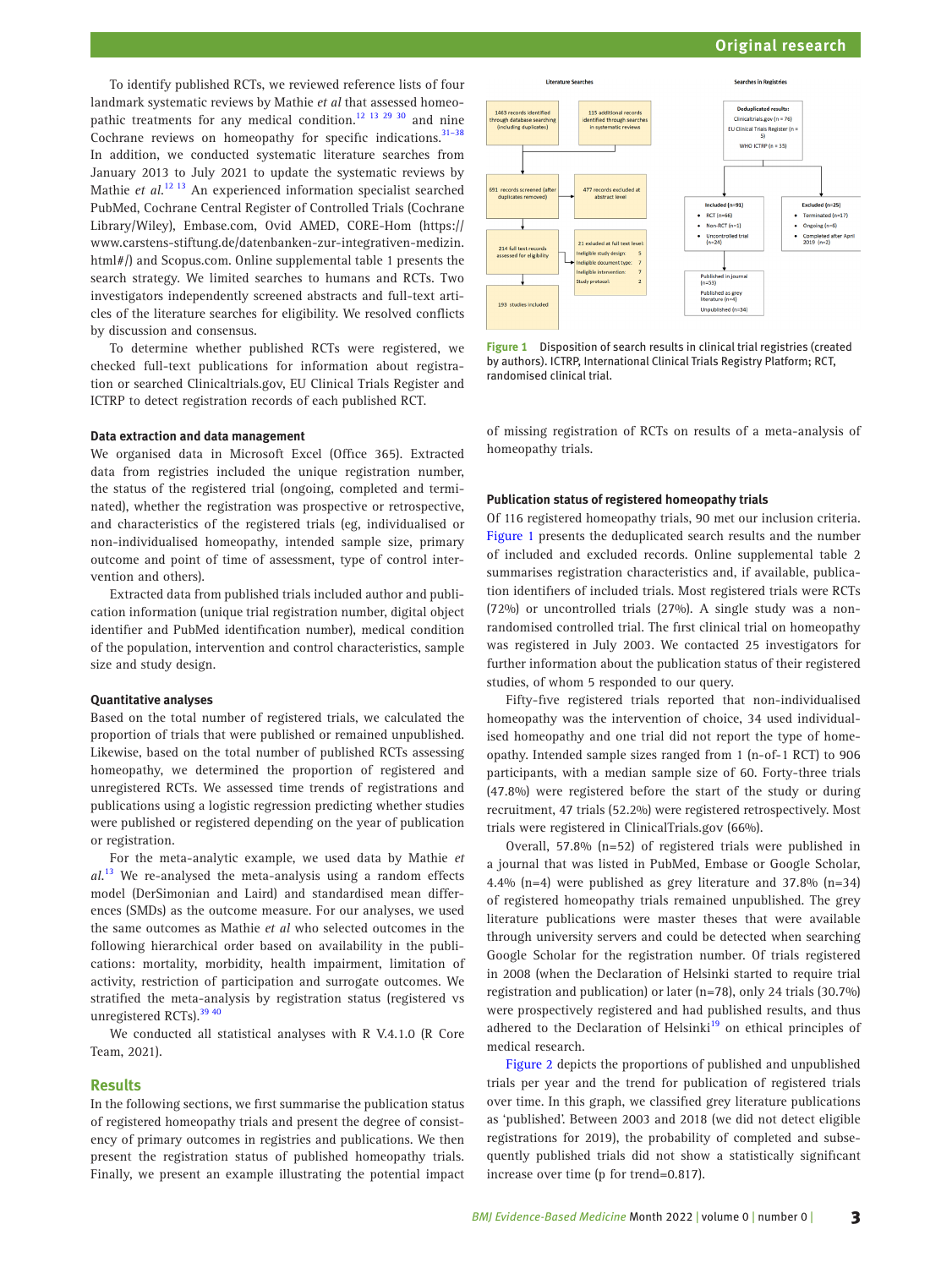# **Original research**

To identify published RCTs, we reviewed reference lists of four landmark systematic reviews by Mathie *et al* that assessed homeopathic treatments for any medical condition.<sup>12 13 29 30</sup> and nine Cochrane reviews on homeopathy for specific indications.<sup>31-38</sup> In addition, we conducted systematic literature searches from January 2013 to July 2021 to update the systematic reviews by Mathie *et al*. [12 13](#page-5-5) An experienced information specialist searched PubMed, Cochrane Central Register of Controlled Trials (Cochrane Library/Wiley), Embase.com, Ovid AMED, CORE-Hom ([https://](https://www.carstens-stiftung.de/datenbanken-zur-integrativen-medizin.html) [www.carstens-stiftung.de/datenbanken-zur-integrativen-medizin.](https://www.carstens-stiftung.de/datenbanken-zur-integrativen-medizin.html) [html](https://www.carstens-stiftung.de/datenbanken-zur-integrativen-medizin.html)#/) and Scopus.com. [Online supplemental table 1](https://dx.doi.org/10.1136/bmjebm-2021-111846) presents the search strategy. We limited searches to humans and RCTs. Two investigators independently screened abstracts and full-text articles of the literature searches for eligibility. We resolved conflicts by discussion and consensus.

To determine whether published RCTs were registered, we checked full-text publications for information about registration or searched Clinicaltrials.gov, EU Clinical Trials Register and ICTRP to detect registration records of each published RCT.

#### **Data extraction and data management**

We organised data in Microsoft Excel (Office 365). Extracted data from registries included the unique registration number, the status of the registered trial (ongoing, completed and terminated), whether the registration was prospective or retrospective, and characteristics of the registered trials (eg, individualised or non-individualised homeopathy, intended sample size, primary outcome and point of time of assessment, type of control intervention and others).

Extracted data from published trials included author and publication information (unique trial registration number, digital object identifier and PubMed identification number), medical condition of the population, intervention and control characteristics, sample size and study design.

## **Quantitative analyses**

Based on the total number of registered trials, we calculated the proportion of trials that were published or remained unpublished. Likewise, based on the total number of published RCTs assessing homeopathy, we determined the proportion of registered and unregistered RCTs. We assessed time trends of registrations and publications using a logistic regression predicting whether studies were published or registered depending on the year of publication or registration.

For the meta-analytic example, we used data by Mathie *et al*. [13](#page-5-21) We re-analysed the meta-analysis using a random effects model (DerSimonian and Laird) and standardised mean differences (SMDs) as the outcome measure. For our analyses, we used the same outcomes as Mathie *et al* who selected outcomes in the following hierarchical order based on availability in the publications: mortality, morbidity, health impairment, limitation of activity, restriction of participation and surrogate outcomes. We stratified the meta-analysis by registration status (registered vs unregistered RCTs).<sup>39 40</sup>

We conducted all statistical analyses with R V.4.1.0 (R Core Team, 2021).

# **Results**

In the following sections, we first summarise the publication status of registered homeopathy trials and present the degree of consistency of primary outcomes in registries and publications. We then present the registration status of published homeopathy trials. Finally, we present an example illustrating the potential impact



<span id="page-2-0"></span>**Figure 1** Disposition of search results in clinical trial registries (created by authors). ICTRP, International Clinical Trials Registry Platform; RCT, randomised clinical trial.

of missing registration of RCTs on results of a meta-analysis of homeopathy trials.

## **Publication status of registered homeopathy trials**

Of 116 registered homeopathy trials, 90 met our inclusion criteria. [Figure 1](#page-2-0) presents the deduplicated search results and the number of included and excluded records. [Online supplemental table 2](https://dx.doi.org/10.1136/bmjebm-2021-111846)  summarises registration characteristics and, if available, publication identifiers of included trials. Most registered trials were RCTs (72%) or uncontrolled trials (27%). A single study was a nonrandomised controlled trial. The first clinical trial on homeopathy was registered in July 2003. We contacted 25 investigators for further information about the publication status of their registered studies, of whom 5 responded to our query.

Fifty-five registered trials reported that non-individualised homeopathy was the intervention of choice, 34 used individualised homeopathy and one trial did not report the type of homeopathy. Intended sample sizes ranged from 1 (n-of-1 RCT) to 906 participants, with a median sample size of 60. Forty-three trials (47.8%) were registered before the start of the study or during recruitment, 47 trials (52.2%) were registered retrospectively. Most trials were registered in ClinicalTrials.gov (66%).

Overall, 57.8% (n=52) of registered trials were published in a journal that was listed in PubMed, Embase or Google Scholar, 4.4% (n=4) were published as grey literature and 37.8% (n=34) of registered homeopathy trials remained unpublished. The grey literature publications were master theses that were available through university servers and could be detected when searching Google Scholar for the registration number. Of trials registered in 2008 (when the Declaration of Helsinki started to require trial registration and publication) or later (n=78), only 24 trials (30.7%) were prospectively registered and had published results, and thus adhered to the Declaration of Helsinki<sup>[19](#page-5-11)</sup> on ethical principles of medical research.

[Figure 2](#page-3-0) depicts the proportions of published and unpublished trials per year and the trend for publication of registered trials over time. In this graph, we classified grey literature publications as 'published'. Between 2003 and 2018 (we did not detect eligible registrations for 2019), the probability of completed and subsequently published trials did not show a statistically significant increase over time (p for trend=0.817).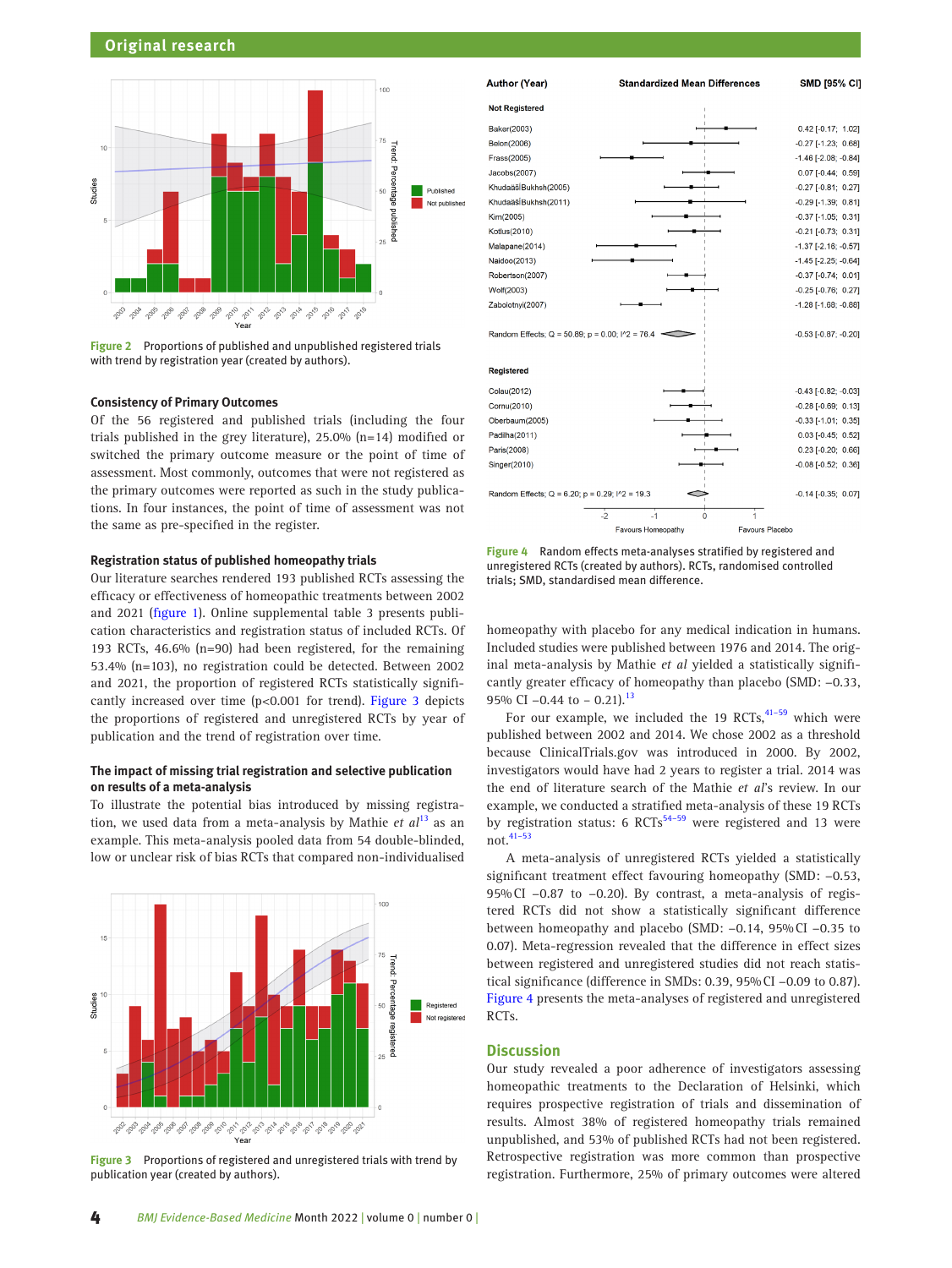

<span id="page-3-0"></span>**Figure 2** Proportions of published and unpublished registered trials with trend by registration year (created by authors).

# **Consistency of Primary Outcomes**

Of the 56 registered and published trials (including the four trials published in the grey literature), 25.0% (n=14) modified or switched the primary outcome measure or the point of time of assessment. Most commonly, outcomes that were not registered as the primary outcomes were reported as such in the study publications. In four instances, the point of time of assessment was not the same as pre-specified in the register.

# **Registration status of published homeopathy trials**

Our literature searches rendered 193 published RCTs assessing the efficacy or effectiveness of homeopathic treatments between 2002 and 2021 ([figure 1](#page-2-0)). [Online supplemental table 3](https://dx.doi.org/10.1136/bmjebm-2021-111846) presents publication characteristics and registration status of included RCTs. Of 193 RCTs, 46.6% (n=90) had been registered, for the remaining 53.4% (n=103), no registration could be detected. Between 2002 and 2021, the proportion of registered RCTs statistically significantly increased over time (p<0.001 for trend). [Figure 3](#page-3-1) depicts the proportions of registered and unregistered RCTs by year of publication and the trend of registration over time.

# **The impact of missing trial registration and selective publication on results of a meta-analysis**

To illustrate the potential bias introduced by missing registration, we used data from a meta-analysis by Mathie *et al*[13](#page-5-21) as an example. This meta-analysis pooled data from 54 double-blinded, low or unclear risk of bias RCTs that compared non-individualised



<span id="page-3-1"></span>**Figure 3** Proportions of registered and unregistered trials with trend by publication year (created by authors).



<span id="page-3-2"></span>**Figure 4** Random effects meta-analyses stratified by registered and unregistered RCTs (created by authors). RCTs, randomised controlled trials; SMD, standardised mean difference.

homeopathy with placebo for any medical indication in humans. Included studies were published between 1976 and 2014. The original meta-analysis by Mathie *et al* yielded a statistically significantly greater efficacy of homeopathy than placebo (SMD: −0.33, 95% CI -0.44 to - 0.21).<sup>13</sup>

For our example, we included the 19 RCTs, $41-59$  which were published between 2002 and 2014. We chose 2002 as a threshold because ClinicalTrials.gov was introduced in 2000. By 2002, investigators would have had 2 years to register a trial. 2014 was the end of literature search of the Mathie *et al*'s review. In our example, we conducted a stratified meta-analysis of these 19 RCTs by registration status: 6 RCTs<sup>[54–59](#page-6-0)</sup> were registered and 13 were not.[41–53](#page-5-23)

A meta-analysis of unregistered RCTs yielded a statistically significant treatment effect favouring homeopathy (SMD: −0.53, 95%CI −0.87 to −0.20). By contrast, a meta-analysis of registered RCTs did not show a statistically significant difference between homeopathy and placebo (SMD: −0.14, 95%CI −0.35 to 0.07). Meta-regression revealed that the difference in effect sizes between registered and unregistered studies did not reach statistical significance (difference in SMDs: 0.39, 95%CI −0.09 to 0.87). [Figure 4](#page-3-2) presents the meta-analyses of registered and unregistered RCTs.

# **Discussion**

Our study revealed a poor adherence of investigators assessing homeopathic treatments to the Declaration of Helsinki, which requires prospective registration of trials and dissemination of results. Almost 38% of registered homeopathy trials remained unpublished, and 53% of published RCTs had not been registered. Retrospective registration was more common than prospective registration. Furthermore, 25% of primary outcomes were altered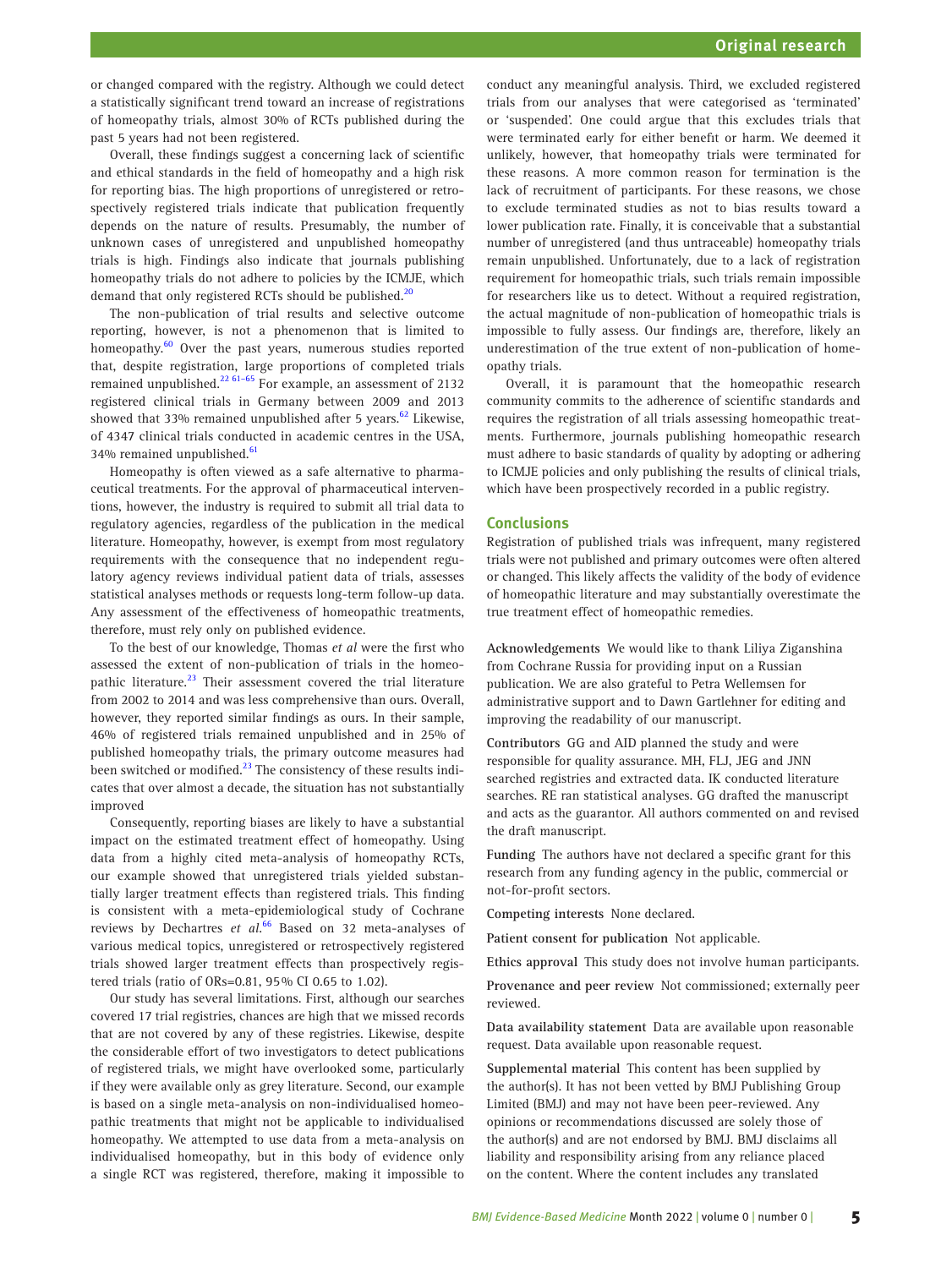or changed compared with the registry. Although we could detect a statistically significant trend toward an increase of registrations of homeopathy trials, almost 30% of RCTs published during the past 5 years had not been registered.

Overall, these findings suggest a concerning lack of scientific and ethical standards in the field of homeopathy and a high risk for reporting bias. The high proportions of unregistered or retrospectively registered trials indicate that publication frequently depends on the nature of results. Presumably, the number of unknown cases of unregistered and unpublished homeopathy trials is high. Findings also indicate that journals publishing homeopathy trials do not adhere to policies by the ICMJE, which demand that only registered RCTs should be published.<sup>[20](#page-5-12)</sup>

The non-publication of trial results and selective outcome reporting, however, is not a phenomenon that is limited to homeopathy.<sup>[60](#page-6-1)</sup> Over the past years, numerous studies reported that, despite registration, large proportions of completed trials remained unpublished.<sup>22 61-65</sup> For example, an assessment of 2132 registered clinical trials in Germany between 2009 and 2013 showed that 33% remained unpublished after 5 years. $62$  Likewise, of 4347 clinical trials conducted in academic centres in the USA, 34% remained unpublished.<sup>[61](#page-6-3)</sup>

Homeopathy is often viewed as a safe alternative to pharmaceutical treatments. For the approval of pharmaceutical interventions, however, the industry is required to submit all trial data to regulatory agencies, regardless of the publication in the medical literature. Homeopathy, however, is exempt from most regulatory requirements with the consequence that no independent regulatory agency reviews individual patient data of trials, assesses statistical analyses methods or requests long-term follow-up data. Any assessment of the effectiveness of homeopathic treatments, therefore, must rely only on published evidence.

To the best of our knowledge, Thomas *et al* were the first who assessed the extent of non-publication of trials in the homeopathic literature.<sup>23</sup> Their assessment covered the trial literature from 2002 to 2014 and was less comprehensive than ours. Overall, however, they reported similar findings as ours. In their sample, 46% of registered trials remained unpublished and in 25% of published homeopathy trials, the primary outcome measures had been switched or modified.<sup>23</sup> The consistency of these results indicates that over almost a decade, the situation has not substantially improved

Consequently, reporting biases are likely to have a substantial impact on the estimated treatment effect of homeopathy. Using data from a highly cited meta-analysis of homeopathy RCTs, our example showed that unregistered trials yielded substantially larger treatment effects than registered trials. This finding is consistent with a meta-epidemiological study of Cochrane reviews by Dechartres *et al*. [66](#page-6-4) Based on 32 meta-analyses of various medical topics, unregistered or retrospectively registered trials showed larger treatment effects than prospectively registered trials (ratio of ORs=0.81, 95% CI 0.65 to 1.02).

Our study has several limitations. First, although our searches covered 17 trial registries, chances are high that we missed records that are not covered by any of these registries. Likewise, despite the considerable effort of two investigators to detect publications of registered trials, we might have overlooked some, particularly if they were available only as grey literature. Second, our example is based on a single meta-analysis on non-individualised homeopathic treatments that might not be applicable to individualised homeopathy. We attempted to use data from a meta-analysis on individualised homeopathy, but in this body of evidence only a single RCT was registered, therefore, making it impossible to

conduct any meaningful analysis. Third, we excluded registered trials from our analyses that were categorised as 'terminated' or 'suspended'. One could argue that this excludes trials that were terminated early for either benefit or harm. We deemed it unlikely, however, that homeopathy trials were terminated for these reasons. A more common reason for termination is the lack of recruitment of participants. For these reasons, we chose to exclude terminated studies as not to bias results toward a lower publication rate. Finally, it is conceivable that a substantial number of unregistered (and thus untraceable) homeopathy trials remain unpublished. Unfortunately, due to a lack of registration requirement for homeopathic trials, such trials remain impossible for researchers like us to detect. Without a required registration, the actual magnitude of non-publication of homeopathic trials is impossible to fully assess. Our findings are, therefore, likely an underestimation of the true extent of non-publication of homeopathy trials.

Overall, it is paramount that the homeopathic research community commits to the adherence of scientific standards and requires the registration of all trials assessing homeopathic treatments. Furthermore, journals publishing homeopathic research must adhere to basic standards of quality by adopting or adhering to ICMJE policies and only publishing the results of clinical trials, which have been prospectively recorded in a public registry.

# **Conclusions**

Registration of published trials was infrequent, many registered trials were not published and primary outcomes were often altered or changed. This likely affects the validity of the body of evidence of homeopathic literature and may substantially overestimate the true treatment effect of homeopathic remedies.

**Acknowledgements** We would like to thank Liliya Ziganshina from Cochrane Russia for providing input on a Russian publication. We are also grateful to Petra Wellemsen for administrative support and to Dawn Gartlehner for editing and improving the readability of our manuscript.

**Contributors** GG and AID planned the study and were responsible for quality assurance. MH, FLJ, JEG and JNN searched registries and extracted data. IK conducted literature searches. RE ran statistical analyses. GG drafted the manuscript and acts as the guarantor. All authors commented on and revised the draft manuscript.

**Funding** The authors have not declared a specific grant for this research from any funding agency in the public, commercial or not-for-profit sectors.

**Competing interests** None declared.

**Patient consent for publication** Not applicable.

**Ethics approval** This study does not involve human participants.

**Provenance and peer review** Not commissioned; externally peer reviewed.

**Data availability statement** Data are available upon reasonable request. Data available upon reasonable request.

**Supplemental material** This content has been supplied by the author(s). It has not been vetted by BMJ Publishing Group Limited (BMJ) and may not have been peer-reviewed. Any opinions or recommendations discussed are solely those of the author(s) and are not endorsed by BMJ. BMJ disclaims all liability and responsibility arising from any reliance placed on the content. Where the content includes any translated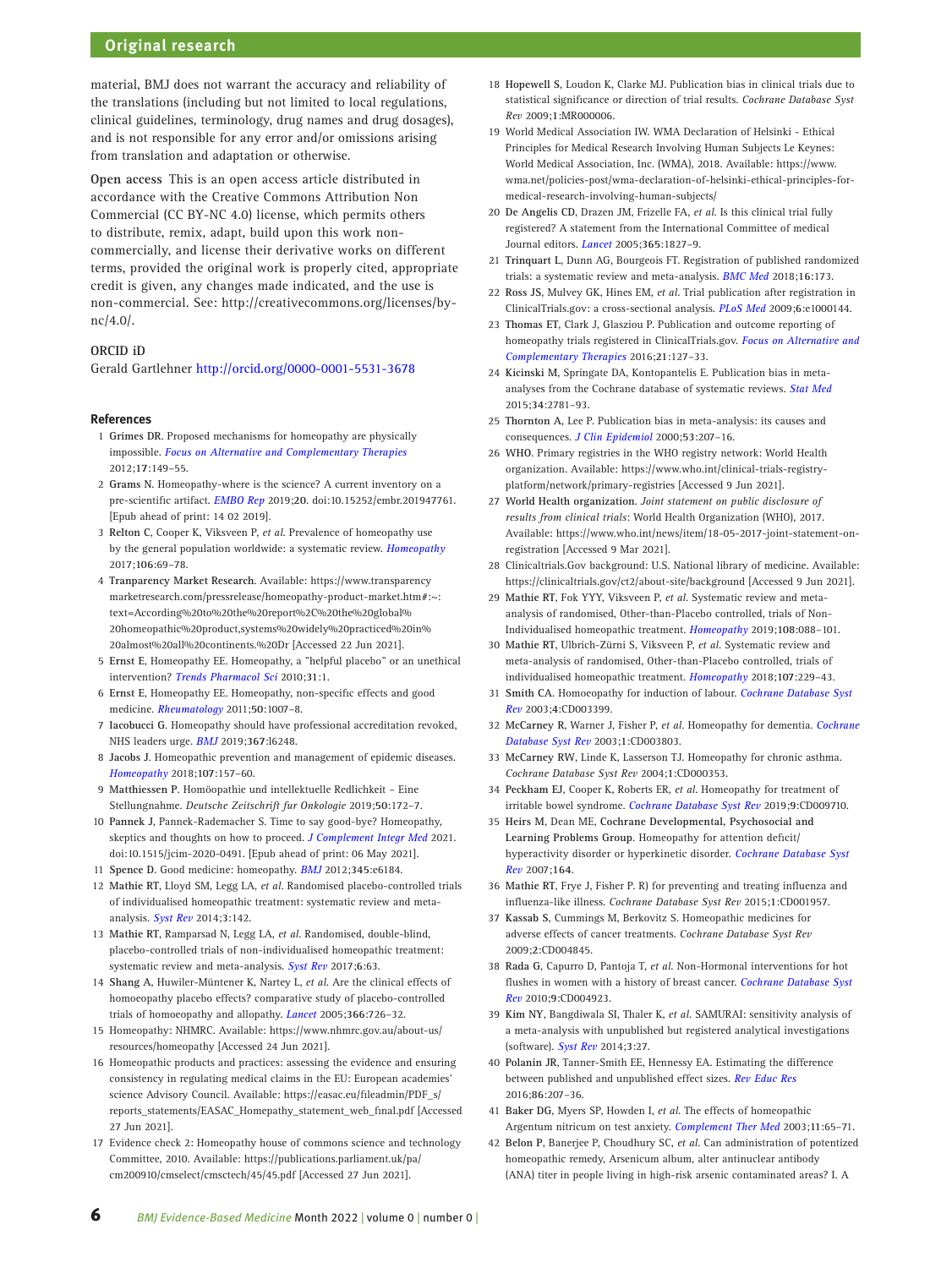# **Original research**

material, BMJ does not warrant the accuracy and reliability of the translations (including but not limited to local regulations, clinical guidelines, terminology, drug names and drug dosages), and is not responsible for any error and/or omissions arising from translation and adaptation or otherwise.

**Open access** This is an open access article distributed in accordance with the Creative Commons Attribution Non Commercial (CC BY-NC 4.0) license, which permits others to distribute, remix, adapt, build upon this work noncommercially, and license their derivative works on different terms, provided the original work is properly cited, appropriate credit is given, any changes made indicated, and the use is non-commercial. See: [http://creativecommons.org/licenses/by](http://creativecommons.org/licenses/by-nc/4.0/)[nc/4.0/](http://creativecommons.org/licenses/by-nc/4.0/).

# **ORCID iD**

Gerald Gartlehner <http://orcid.org/0000-0001-5531-3678>

## **References**

- <span id="page-5-0"></span>1 **Grimes DR**. Proposed mechanisms for homeopathy are physically impossible. *[Focus on Alternative and Complementary Therapies](http://dx.doi.org/10.1111/j.2042-7166.2012.01162.x)* 2012;**17**:149–55.
- <span id="page-5-1"></span>2 **Grams N**. Homeopathy-where is the science? A current inventory on a pre-scientific artifact. *[EMBO Rep](http://dx.doi.org/10.15252/embr.201947761)* 2019;**20**. doi:10.15252/embr.201947761. [Epub ahead of print: 14 02 2019].
- <span id="page-5-2"></span>3 **Relton C**, Cooper K, Viksveen P, *et al*. Prevalence of homeopathy use by the general population worldwide: a systematic review. *[Homeopathy](http://dx.doi.org/10.1016/j.homp.2017.03.002)* 2017;**106**:69–78.
- <span id="page-5-3"></span>4 **Tranparency Market Research**. Available: [https://www.transparency](https://www.transparencymarketresearch.com/pressrelease/homeopathy-product-market.htm#:~:text=According%20to%20the%20report%2C%20the%20global%20homeopathic%20product,systems%20widely%20practiced%20in%20almost%20all%20continents.%20Dr) [marketresearch.com/pressrelease/homeopathy-product-market.htm#:~:](https://www.transparencymarketresearch.com/pressrelease/homeopathy-product-market.htm#:~:text=According%20to%20the%20report%2C%20the%20global%20homeopathic%20product,systems%20widely%20practiced%20in%20almost%20all%20continents.%20Dr) [text=According%20to%20the%20report%2C%20the%20global%](https://www.transparencymarketresearch.com/pressrelease/homeopathy-product-market.htm#:~:text=According%20to%20the%20report%2C%20the%20global%20homeopathic%20product,systems%20widely%20practiced%20in%20almost%20all%20continents.%20Dr) [20homeopathic%20product,systems%20widely%20practiced%20in%](https://www.transparencymarketresearch.com/pressrelease/homeopathy-product-market.htm#:~:text=According%20to%20the%20report%2C%20the%20global%20homeopathic%20product,systems%20widely%20practiced%20in%20almost%20all%20continents.%20Dr) [20almost%20all%20continents.%20Dr](https://www.transparencymarketresearch.com/pressrelease/homeopathy-product-market.htm#:~:text=According%20to%20the%20report%2C%20the%20global%20homeopathic%20product,systems%20widely%20practiced%20in%20almost%20all%20continents.%20Dr) [Accessed 22 Jun 2021].
- <span id="page-5-4"></span>5 **Ernst E**, Homeopathy EE. Homeopathy, a "helpful placebo" or an unethical intervention? *[Trends Pharmacol Sci](http://dx.doi.org/10.1016/j.tips.2009.10.005)* 2010;**31**:1.
- 6 **Ernst E**, Homeopathy EE. Homeopathy, non-specific effects and good medicine. *[Rheumatology](http://dx.doi.org/10.1093/rheumatology/keq265)* 2011;**50**:1007–8.
- 7 **Iacobucci G**. Homeopathy should have professional accreditation revoked, NHS leaders urge. *[BMJ](http://dx.doi.org/10.1136/bmj.l6248)* 2019;**367**:l6248.
- 8 **Jacobs J**. Homeopathic prevention and management of epidemic diseases. *[Homeopathy](http://dx.doi.org/10.1055/s-0038-1649487)* 2018;**107**:157–60.
- 9 **Matthiessen P**. Homöopathie und intellektuelle Redlichkeit Eine Stellungnahme. *Deutsche Zeitschrift fur Onkologie* 2019;**50**:172–7.
- 10 **Pannek J**, Pannek-Rademacher S. Time to say good-bye? Homeopathy, skeptics and thoughts on how to proceed. *[J Complement Integr Med](http://dx.doi.org/10.1515/jcim-2020-0491)* 2021. doi:10.1515/jcim-2020-0491. [Epub ahead of print: 06 May 2021].
- 11 **Spence D**. Good medicine: homeopathy. *[BMJ](http://dx.doi.org/10.1136/bmj.e6184)* 2012;**345**:e6184.
- <span id="page-5-5"></span>12 **Mathie RT**, Lloyd SM, Legg LA, *et al*. Randomised placebo-controlled trials of individualised homeopathic treatment: systematic review and metaanalysis. *[Syst Rev](http://dx.doi.org/10.1186/2046-4053-3-142)* 2014;**3**:142.
- <span id="page-5-21"></span>13 **Mathie RT**, Ramparsad N, Legg LA, *et al*. Randomised, double-blind, placebo-controlled trials of non-individualised homeopathic treatment: systematic review and meta-analysis. *[Syst Rev](http://dx.doi.org/10.1186/s13643-017-0445-3)* 2017;**6**:63.
- <span id="page-5-6"></span>14 **Shang A**, Huwiler-Müntener K, Nartey L, *et al*. Are the clinical effects of homoeopathy placebo effects? comparative study of placebo-controlled trials of homoeopathy and allopathy. *[Lancet](http://dx.doi.org/10.1016/S0140-6736(05)67177-2)* 2005;**366**:726–32.
- <span id="page-5-7"></span>15 Homeopathy: NHMRC. Available: [https://www.nhmrc.gov.au/about-us/](https://www.nhmrc.gov.au/about-us/resources/homeopathy) [resources/homeopathy](https://www.nhmrc.gov.au/about-us/resources/homeopathy) [Accessed 24 Jun 2021].
- <span id="page-5-8"></span>16 Homeopathic products and practices: assessing the evidence and ensuring consistency in regulating medical claims in the EU: European academies' science Advisory Council. Available: [https://easac.eu/fileadmin/PDF\\_s/](https://easac.eu/fileadmin/PDF_s/reports_statements/EASAC_Homepathy_statement_web_final.pdf) [reports\\_statements/EASAC\\_Homepathy\\_statement\\_web\\_final.pdf](https://easac.eu/fileadmin/PDF_s/reports_statements/EASAC_Homepathy_statement_web_final.pdf) [Accessed 27 Jun 2021].
- <span id="page-5-9"></span>17 Evidence check 2: Homeopathy house of commons science and technology Committee, 2010. Available: [https://publications.parliament.uk/pa/](https://publications.parliament.uk/pa/cm200910/cmselect/cmsctech/45/45.pdf) [cm200910/cmselect/cmsctech/45/45.pdf](https://publications.parliament.uk/pa/cm200910/cmselect/cmsctech/45/45.pdf) [Accessed 27 Jun 2021].
- <span id="page-5-10"></span>18 **Hopewell S**, Loudon K, Clarke MJ. Publication bias in clinical trials due to statistical significance or direction of trial results. *Cochrane Database Syst Rev* 2009;**1**:MR000006.
- <span id="page-5-11"></span>19 World Medical Association IW. WMA Declaration of Helsinki - Ethical Principles for Medical Research Involving Human Subjects Le Keynes: World Medical Association, Inc. (WMA), 2018. Available: [https://www.](https://www.wma.net/policies-post/wma-declaration-of-helsinki-ethical-principles-for-medical-research-involving-human-subjects/) [wma.net/policies-post/wma-declaration-of-helsinki-ethical-principles-for](https://www.wma.net/policies-post/wma-declaration-of-helsinki-ethical-principles-for-medical-research-involving-human-subjects/)[medical-research-involving-human-subjects/](https://www.wma.net/policies-post/wma-declaration-of-helsinki-ethical-principles-for-medical-research-involving-human-subjects/)
- <span id="page-5-12"></span>20 **De Angelis CD**, Drazen JM, Frizelle FA, *et al*. Is this clinical trial fully registered? A statement from the International Committee of medical Journal editors. *[Lancet](http://dx.doi.org/10.1016/S0140-6736(05)66588-9)* 2005;**365**:1827–9.
- <span id="page-5-13"></span>21 **Trinquart L**, Dunn AG, Bourgeois FT. Registration of published randomized trials: a systematic review and meta-analysis. *[BMC Med](http://dx.doi.org/10.1186/s12916-018-1168-6)* 2018;**16**:173.
- <span id="page-5-14"></span>22 **Ross JS**, Mulvey GK, Hines EM, *et al*. Trial publication after registration in ClinicalTrials.gov: a cross-sectional analysis. *[PLoS Med](http://dx.doi.org/10.1371/journal.pmed.1000144)* 2009;**6**:e1000144.
- <span id="page-5-15"></span>23 **Thomas ET**, Clark J, Glasziou P. Publication and outcome reporting of homeopathy trials registered in ClinicalTrials.gov. *[Focus on Alternative and](http://dx.doi.org/10.1111/fct.12278)  [Complementary Therapies](http://dx.doi.org/10.1111/fct.12278)* 2016;**21**:127–33.
- <span id="page-5-16"></span>24 **Kicinski M**, Springate DA, Kontopantelis E. Publication bias in metaanalyses from the Cochrane database of systematic reviews. *[Stat Med](http://dx.doi.org/10.1002/sim.6525)* 2015;**34**:2781–93.
- 25 **Thornton A**, Lee P. Publication bias in meta-analysis: its causes and consequences. *[J Clin Epidemiol](http://dx.doi.org/10.1016/S0895-4356(99)00161-4)* 2000;**53**:207–16.
- <span id="page-5-17"></span>26 **WHO**. Primary registries in the WHO registry network: World Health organization. Available: [https://www.who.int/clinical-trials-registry](https://www.who.int/clinical-trials-registry-platform/network/primary-registries)[platform/network/primary-registries](https://www.who.int/clinical-trials-registry-platform/network/primary-registries) [Accessed 9 Jun 2021].
- <span id="page-5-18"></span>27 **World Health organization**. *Joint statement on public disclosure of results from clinical trials*: World Health Organization (WHO), 2017. Available: [https://www.who.int/news/item/18-05-2017-joint-statement-on](https://www.who.int/news/item/18-05-2017-joint-statement-on-registration)[registration](https://www.who.int/news/item/18-05-2017-joint-statement-on-registration) [Accessed 9 Mar 2021].
- <span id="page-5-19"></span>28 Clinicaltrials.Gov background: U.S. National library of medicine. Available: <https://clinicaltrials.gov/ct2/about-site/background> [Accessed 9 Jun 2021].
- 29 **Mathie RT**, Fok YYY, Viksveen P, *et al*. Systematic review and metaanalysis of randomised, Other-than-Placebo controlled, trials of Non-Individualised homeopathic treatment. *[Homeopathy](http://dx.doi.org/10.1055/s-0038-1677481)* 2019;**108**:088–101.
- 30 **Mathie RT**, Ulbrich-Zürni S, Viksveen P, *et al*. Systematic review and meta-analysis of randomised, Other-than-Placebo controlled, trials of individualised homeopathic treatment. *[Homeopathy](http://dx.doi.org/10.1055/s-0038-1667129)* 2018;**107**:229–43.
- <span id="page-5-20"></span>31 **Smith CA**. Homoeopathy for induction of labour. *[Cochrane Database Syst](http://dx.doi.org/10.1002/14651858.CD003399)  [Rev](http://dx.doi.org/10.1002/14651858.CD003399)* 2003;**4**:CD003399.
- 32 **McCarney R**, Warner J, Fisher P, *et al*. Homeopathy for dementia. *[Cochrane](http://dx.doi.org/10.1002/14651858.CD003803)  [Database Syst Rev](http://dx.doi.org/10.1002/14651858.CD003803)* 2003;**1**:CD003803.
- 33 **McCarney RW**, Linde K, Lasserson TJ. Homeopathy for chronic asthma. *Cochrane Database Syst Rev* 2004;**1**:CD000353.
- 34 **Peckham EJ**, Cooper K, Roberts ER, *et al*. Homeopathy for treatment of irritable bowel syndrome. *[Cochrane Database Syst Rev](http://dx.doi.org/10.1002/14651858.CD009710.pub3)* 2019;**9**:CD009710.
- 35 **Heirs M**, Dean ME, **Cochrane Developmental, Psychosocial and Learning Problems Group**. Homeopathy for attention deficit/ hyperactivity disorder or hyperkinetic disorder. *[Cochrane Database Syst](http://dx.doi.org/10.1002/14651858.CD005648.pub2)  [Rev](http://dx.doi.org/10.1002/14651858.CD005648.pub2)* 2007;**164**.
- 36 **Mathie RT**, Frye J, Fisher P. R) for preventing and treating influenza and influenza-like illness. *Cochrane Database Syst Rev* 2015;**1**:CD001957.
- 37 **Kassab S**, Cummings M, Berkovitz S. Homeopathic medicines for adverse effects of cancer treatments. *Cochrane Database Syst Rev* 2009;**2**:CD004845.
- 38 **Rada G**, Capurro D, Pantoja T, *et al*. Non-Hormonal interventions for hot flushes in women with a history of breast cancer. *[Cochrane Database Syst](http://dx.doi.org/10.1002/14651858.CD004923.pub2)  [Rev](http://dx.doi.org/10.1002/14651858.CD004923.pub2)* 2010;**9**:CD004923.
- <span id="page-5-22"></span>39 **Kim NY**, Bangdiwala SI, Thaler K, *et al*. SAMURAI: sensitivity analysis of a meta-analysis with unpublished but registered analytical investigations (software). *[Syst Rev](http://dx.doi.org/10.1186/2046-4053-3-27)* 2014;**3**:27.
- 40 **Polanin JR**, Tanner-Smith EE, Hennessy EA. Estimating the difference between published and unpublished effect sizes. *[Rev Educ Res](http://dx.doi.org/10.3102/0034654315582067)* 2016;**86**:207–36.
- <span id="page-5-23"></span>41 **Baker DG**, Myers SP, Howden I, *et al*. The effects of homeopathic Argentum nitricum on test anxiety. *[Complement Ther Med](http://dx.doi.org/10.1016/S0965-2299(03)00059-1)* 2003;**11**:65–71.
- 42 **Belon P**, Banerjee P, Choudhury SC, *et al*. Can administration of potentized homeopathic remedy, Arsenicum album, alter antinuclear antibody (ANA) titer in people living in high-risk arsenic contaminated areas? I. A